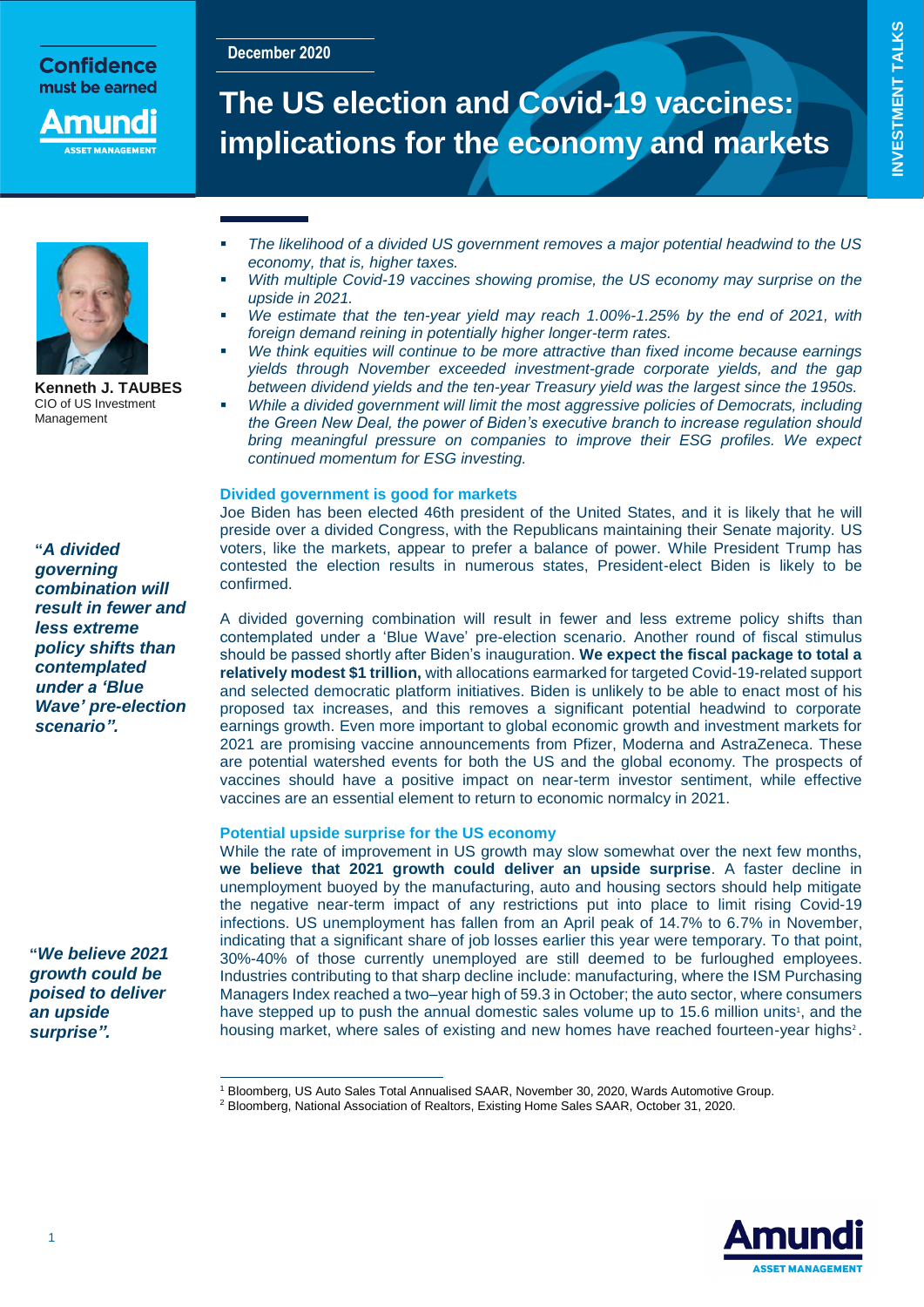**December 2020**

Confidence must be earned

nuna

# **The US election and Covid-19 vaccines: implications for the economy and markets**



**Kenneth J. TAUBES** CIO of US Investment Management

**"***A divided governing combination will result in fewer and less extreme policy shifts than contemplated under a 'Blue Wave' pre-election scenario".*

**"***We believe 2021 growth could be poised to deliver an upside surprise".*

 $\overline{a}$ 

- *The likelihood of a divided US government removes a major potential headwind to the US economy, that is, higher taxes.*
- *With multiple Covid-19 vaccines showing promise, the US economy may surprise on the upside in 2021.*
- *We estimate that the ten-year yield may reach 1.00%-1.25% by the end of 2021, with foreign demand reining in potentially higher longer-term rates.*
- *We think equities will continue to be more attractive than fixed income because earnings yields through November exceeded investment-grade corporate yields, and the gap between dividend yields and the ten-year Treasury yield was the largest since the 1950s.*
- *While a divided government will limit the most aggressive policies of Democrats, including the Green New Deal, the power of Biden's executive branch to increase regulation should bring meaningful pressure on companies to improve their ESG profiles. We expect continued momentum for ESG investing.*

## **Divided government is good for markets**

Joe Biden has been elected 46th president of the United States, and it is likely that he will preside over a divided Congress, with the Republicans maintaining their Senate majority. US voters, like the markets, appear to prefer a balance of power. While President Trump has contested the election results in numerous states, President-elect Biden is likely to be confirmed.

A divided governing combination will result in fewer and less extreme policy shifts than contemplated under a 'Blue Wave' pre-election scenario. Another round of fiscal stimulus should be passed shortly after Biden's inauguration. **We expect the fiscal package to total a relatively modest \$1 trillion,** with allocations earmarked for targeted Covid-19-related support and selected democratic platform initiatives. Biden is unlikely to be able to enact most of his proposed tax increases, and this removes a significant potential headwind to corporate earnings growth. Even more important to global economic growth and investment markets for 2021 are promising vaccine announcements from Pfizer, Moderna and AstraZeneca. These are potential watershed events for both the US and the global economy. The prospects of vaccines should have a positive impact on near-term investor sentiment, while effective vaccines are an essential element to return to economic normalcy in 2021.

# **Potential upside surprise for the US economy**

While the rate of improvement in US growth may slow somewhat over the next few months, **we believe that 2021 growth could deliver an upside surprise**. A faster decline in unemployment buoyed by the manufacturing, auto and housing sectors should help mitigate the negative near-term impact of any restrictions put into place to limit rising Covid-19 infections. US unemployment has fallen from an April peak of 14.7% to 6.7% in November, indicating that a significant share of job losses earlier this year were temporary. To that point, 30%-40% of those currently unemployed are still deemed to be furloughed employees. Industries contributing to that sharp decline include: manufacturing, where the ISM Purchasing Managers Index reached a two–year high of 59.3 in October; the auto sector, where consumers have stepped up to push the annual domestic sales volume up to 15.6 million units<sup>1</sup>, and the housing market, where sales of existing and new homes have reached fourteen-year highs<sup>2</sup>.



<sup>1</sup> Bloomberg, US Auto Sales Total Annualised SAAR, November 30, 2020, Wards Automotive Group.

<sup>2</sup> Bloomberg, National Association of Realtors, Existing Home Sales SAAR, October 31, 2020.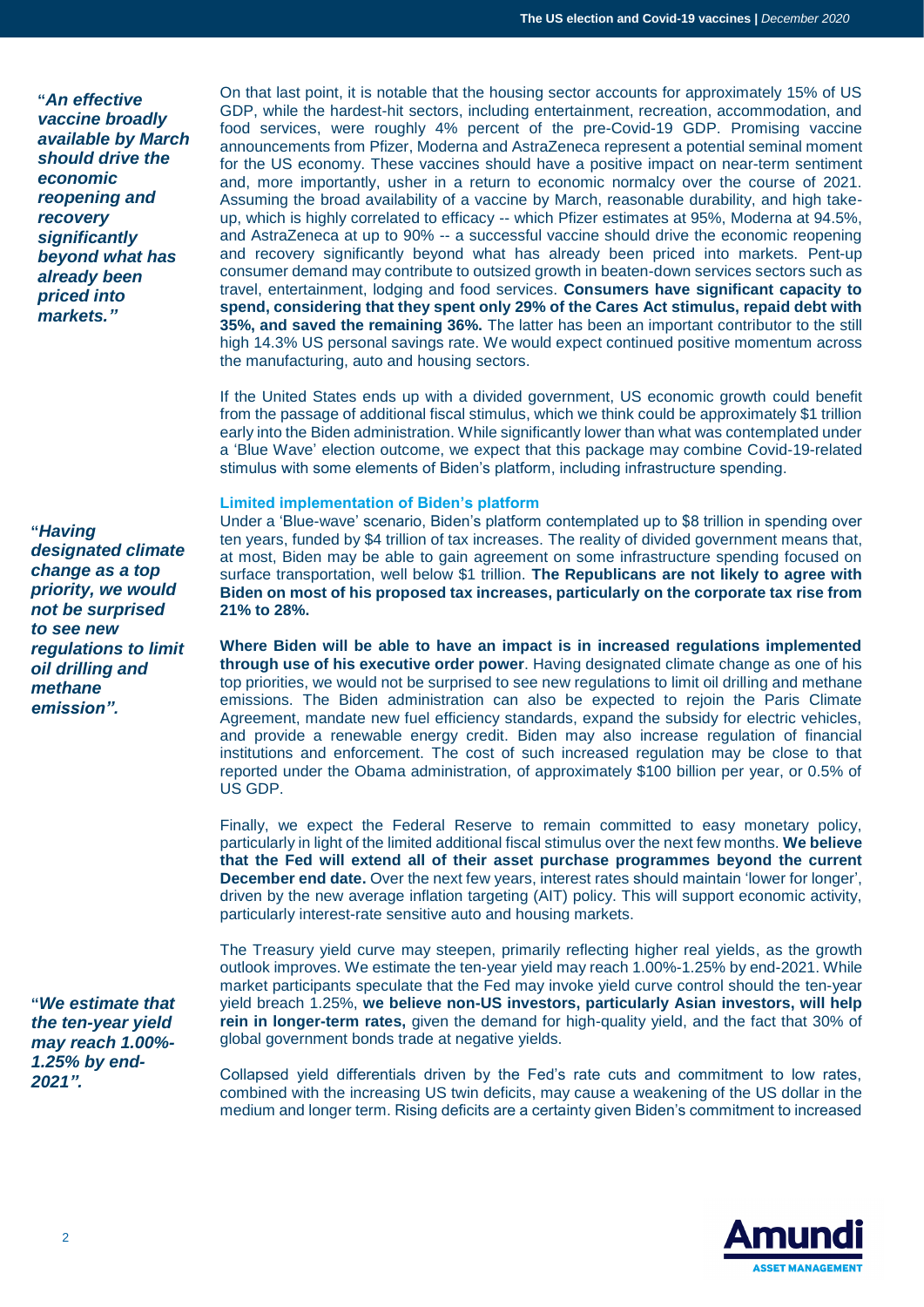**"***An effective vaccine broadly available by March should drive the economic reopening and recovery significantly beyond what has already been priced into markets."*

**"***Having designated climate change as a top priority, we would not be surprised to see new regulations to limit oil drilling and methane emission".*

**"***We estimate that the ten-year yield may reach 1.00%- 1.25% by end-2021".*

On that last point, it is notable that the housing sector accounts for approximately 15% of US GDP, while the hardest-hit sectors, including entertainment, recreation, accommodation, and food services, were roughly 4% percent of the pre-Covid-19 GDP. Promising vaccine announcements from Pfizer, Moderna and AstraZeneca represent a potential seminal moment for the US economy. These vaccines should have a positive impact on near-term sentiment and, more importantly, usher in a return to economic normalcy over the course of 2021. Assuming the broad availability of a vaccine by March, reasonable durability, and high takeup, which is highly correlated to efficacy -- which Pfizer estimates at 95%, Moderna at 94.5%, and AstraZeneca at up to 90% -- a successful vaccine should drive the economic reopening and recovery significantly beyond what has already been priced into markets. Pent-up consumer demand may contribute to outsized growth in beaten-down services sectors such as travel, entertainment, lodging and food services. **Consumers have significant capacity to spend, considering that they spent only 29% of the Cares Act stimulus, repaid debt with 35%, and saved the remaining 36%.** The latter has been an important contributor to the still high 14.3% US personal savings rate. We would expect continued positive momentum across the manufacturing, auto and housing sectors.

If the United States ends up with a divided government, US economic growth could benefit from the passage of additional fiscal stimulus, which we think could be approximately \$1 trillion early into the Biden administration. While significantly lower than what was contemplated under a 'Blue Wave' election outcome, we expect that this package may combine Covid-19-related stimulus with some elements of Biden's platform, including infrastructure spending.

## **Limited implementation of Biden's platform**

Under a 'Blue-wave' scenario, Biden's platform contemplated up to \$8 trillion in spending over ten years, funded by \$4 trillion of tax increases. The reality of divided government means that, at most, Biden may be able to gain agreement on some infrastructure spending focused on surface transportation, well below \$1 trillion. **The Republicans are not likely to agree with Biden on most of his proposed tax increases, particularly on the corporate tax rise from 21% to 28%.**

**Where Biden will be able to have an impact is in increased regulations implemented through use of his executive order power**. Having designated climate change as one of his top priorities, we would not be surprised to see new regulations to limit oil drilling and methane emissions. The Biden administration can also be expected to rejoin the Paris Climate Agreement, mandate new fuel efficiency standards, expand the subsidy for electric vehicles, and provide a renewable energy credit. Biden may also increase regulation of financial institutions and enforcement. The cost of such increased regulation may be close to that reported under the Obama administration, of approximately \$100 billion per year, or 0.5% of US GDP.

Finally, we expect the Federal Reserve to remain committed to easy monetary policy, particularly in light of the limited additional fiscal stimulus over the next few months. **We believe that the Fed will extend all of their asset purchase programmes beyond the current December end date.** Over the next few years, interest rates should maintain 'lower for longer', driven by the new average inflation targeting (AIT) policy. This will support economic activity, particularly interest-rate sensitive auto and housing markets.

The Treasury yield curve may steepen, primarily reflecting higher real yields, as the growth outlook improves. We estimate the ten-year yield may reach 1.00%-1.25% by end-2021. While market participants speculate that the Fed may invoke yield curve control should the ten-year yield breach 1.25%, **we believe non-US investors, particularly Asian investors, will help rein in longer-term rates,** given the demand for high-quality yield, and the fact that 30% of global government bonds trade at negative yields.

Collapsed yield differentials driven by the Fed's rate cuts and commitment to low rates, combined with the increasing US twin deficits, may cause a weakening of the US dollar in the medium and longer term. Rising deficits are a certainty given Biden's commitment to increased

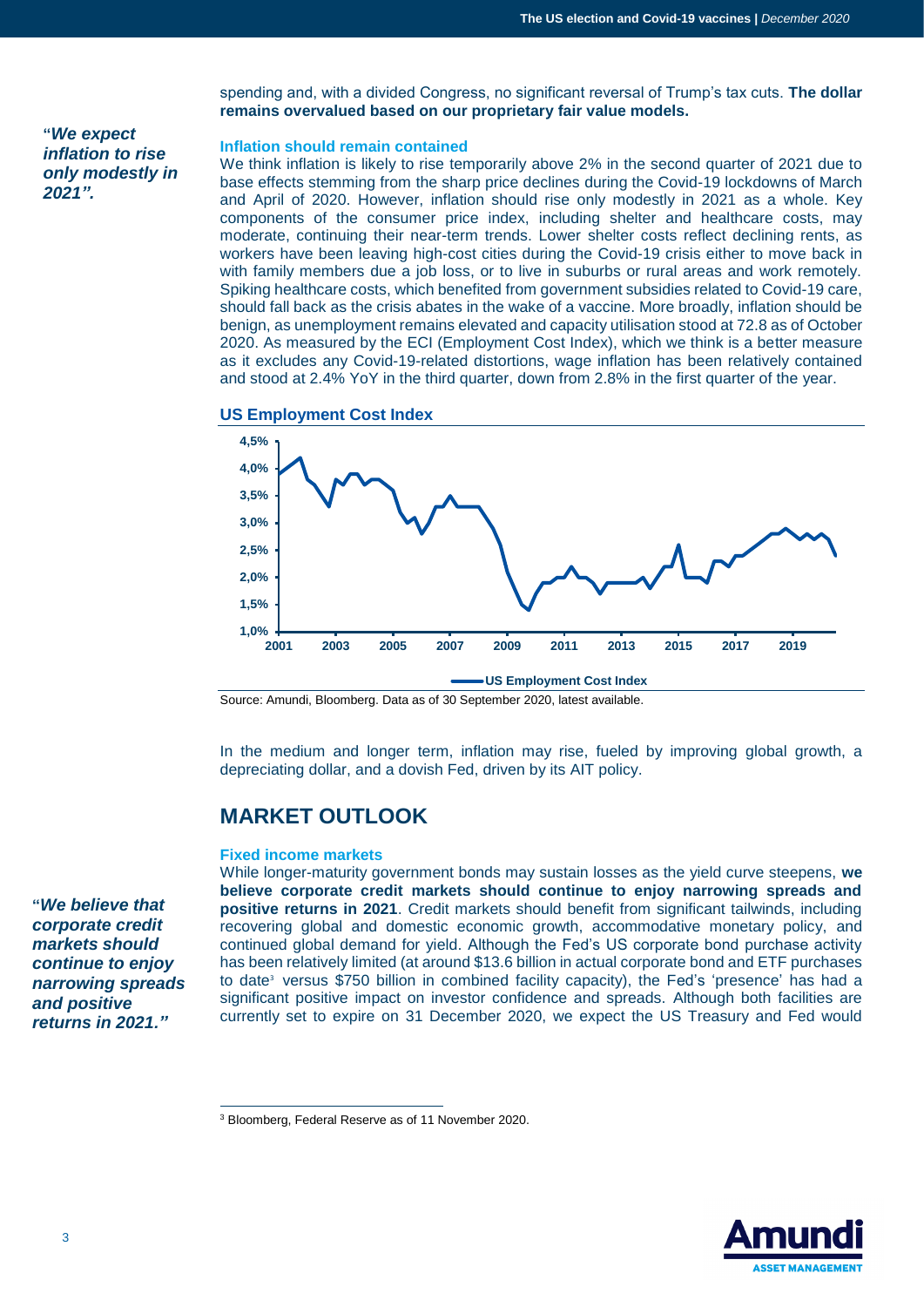**"***We expect inflation to rise only modestly in 2021".*

spending and, with a divided Congress, no significant reversal of Trump's tax cuts. **The dollar remains overvalued based on our proprietary fair value models.**

# **Inflation should remain contained**

We think inflation is likely to rise temporarily above 2% in the second quarter of 2021 due to base effects stemming from the sharp price declines during the Covid-19 lockdowns of March and April of 2020. However, inflation should rise only modestly in 2021 as a whole. Key components of the consumer price index, including shelter and healthcare costs, may moderate, continuing their near-term trends. Lower shelter costs reflect declining rents, as workers have been leaving high-cost cities during the Covid-19 crisis either to move back in with family members due a job loss, or to live in suburbs or rural areas and work remotely. Spiking healthcare costs, which benefited from government subsidies related to Covid-19 care, should fall back as the crisis abates in the wake of a vaccine. More broadly, inflation should be benign, as unemployment remains elevated and capacity utilisation stood at 72.8 as of October 2020. As measured by the ECI (Employment Cost Index), which we think is a better measure as it excludes any Covid-19-related distortions, wage inflation has been relatively contained and stood at 2.4% YoY in the third quarter, down from 2.8% in the first quarter of the year.

#### **US Employment Cost Index**



Source: Amundi, Bloomberg. Data as of 30 September 2020, latest available.

In the medium and longer term, inflation may rise, fueled by improving global growth, a depreciating dollar, and a dovish Fed, driven by its AIT policy.

# **MARKET OUTLOOK**

#### **Fixed income markets**

While longer-maturity government bonds may sustain losses as the yield curve steepens, **we believe corporate credit markets should continue to enjoy narrowing spreads and positive returns in 2021**. Credit markets should benefit from significant tailwinds, including recovering global and domestic economic growth, accommodative monetary policy, and continued global demand for yield. Although the Fed's US corporate bond purchase activity has been relatively limited (at around \$13.6 billion in actual corporate bond and ETF purchases to date<sup>3</sup> versus \$750 billion in combined facility capacity), the Fed's 'presence' has had a significant positive impact on investor confidence and spreads. Although both facilities are currently set to expire on 31 December 2020, we expect the US Treasury and Fed would

 $\overline{a}$ <sup>3</sup> Bloomberg, Federal Reserve as of 11 November 2020.



**"***We believe that corporate credit markets should continue to enjoy narrowing spreads and positive returns in 2021."*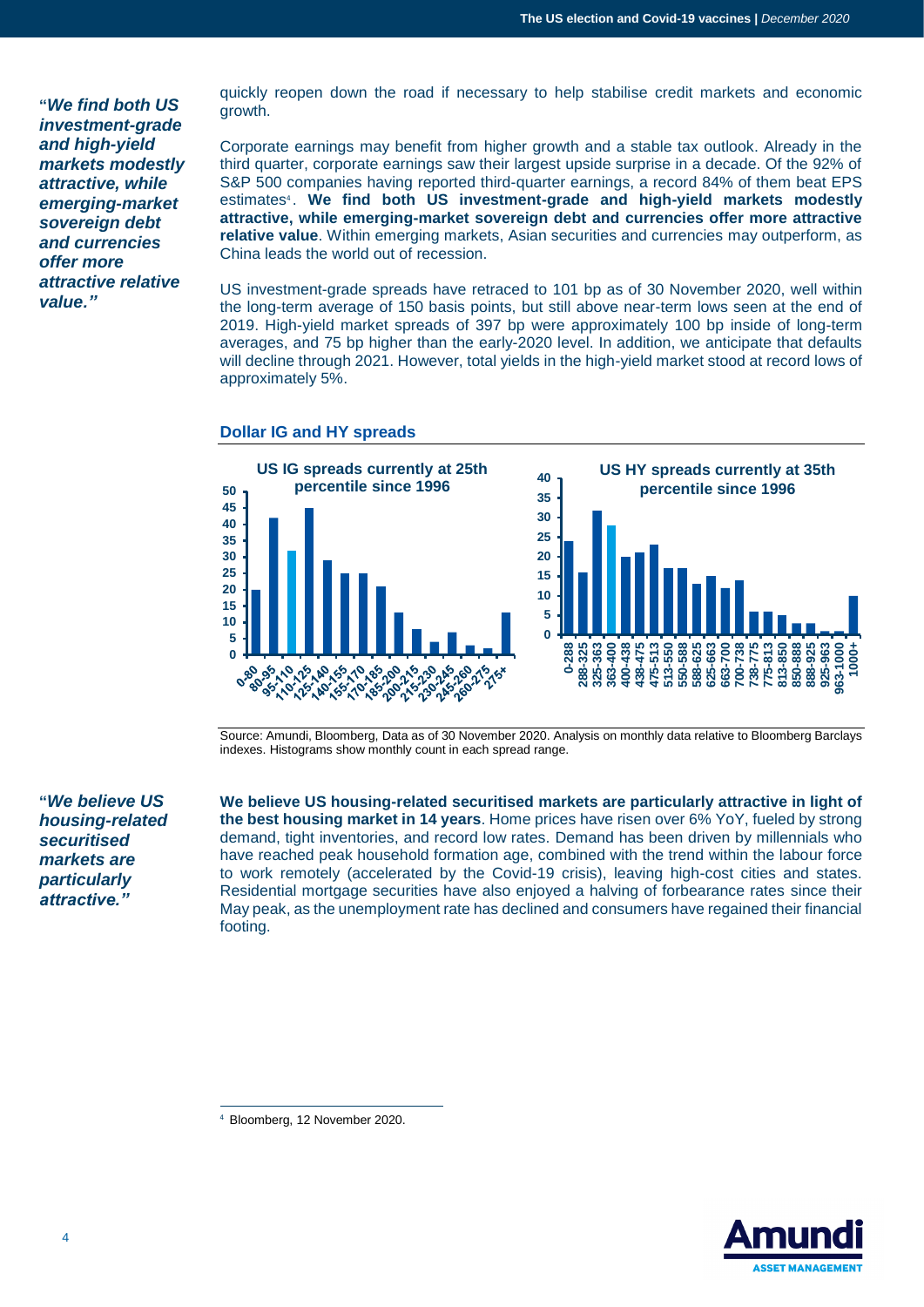**"***We find both US investment-grade and high-yield markets modestly attractive, while emerging-market sovereign debt and currencies offer more attractive relative value."*

quickly reopen down the road if necessary to help stabilise credit markets and economic growth.

Corporate earnings may benefit from higher growth and a stable tax outlook. Already in the third quarter, corporate earnings saw their largest upside surprise in a decade. Of the 92% of S&P 500 companies having reported third-quarter earnings, a record 84% of them beat EPS estimates<sup>4</sup>. We find both US investment-grade and high-yield markets modestly **attractive, while emerging-market sovereign debt and currencies offer more attractive relative value**. Within emerging markets, Asian securities and currencies may outperform, as China leads the world out of recession.

US investment-grade spreads have retraced to 101 bp as of 30 November 2020, well within the long-term average of 150 basis points, but still above near-term lows seen at the end of 2019. High-yield market spreads of 397 bp were approximately 100 bp inside of long-term averages, and 75 bp higher than the early-2020 level. In addition, we anticipate that defaults will decline through 2021. However, total yields in the high-yield market stood at record lows of approximately 5%.

**Dollar IG and HY spreads**



Source: Amundi, Bloomberg, Data as of 30 November 2020. Analysis on monthly data relative to Bloomberg Barclays indexes. Histograms show monthly count in each spread range.

**"***We believe US housing-related securitised markets are particularly attractive."*

**We believe US housing-related securitised markets are particularly attractive in light of the best housing market in 14 years**. Home prices have risen over 6% YoY, fueled by strong demand, tight inventories, and record low rates. Demand has been driven by millennials who have reached peak household formation age, combined with the trend within the labour force to work remotely (accelerated by the Covid-19 crisis), leaving high-cost cities and states. Residential mortgage securities have also enjoyed a halving of forbearance rates since their May peak, as the unemployment rate has declined and consumers have regained their financial footing.

 $\overline{a}$ <sup>4</sup> Bloomberg, 12 November 2020.

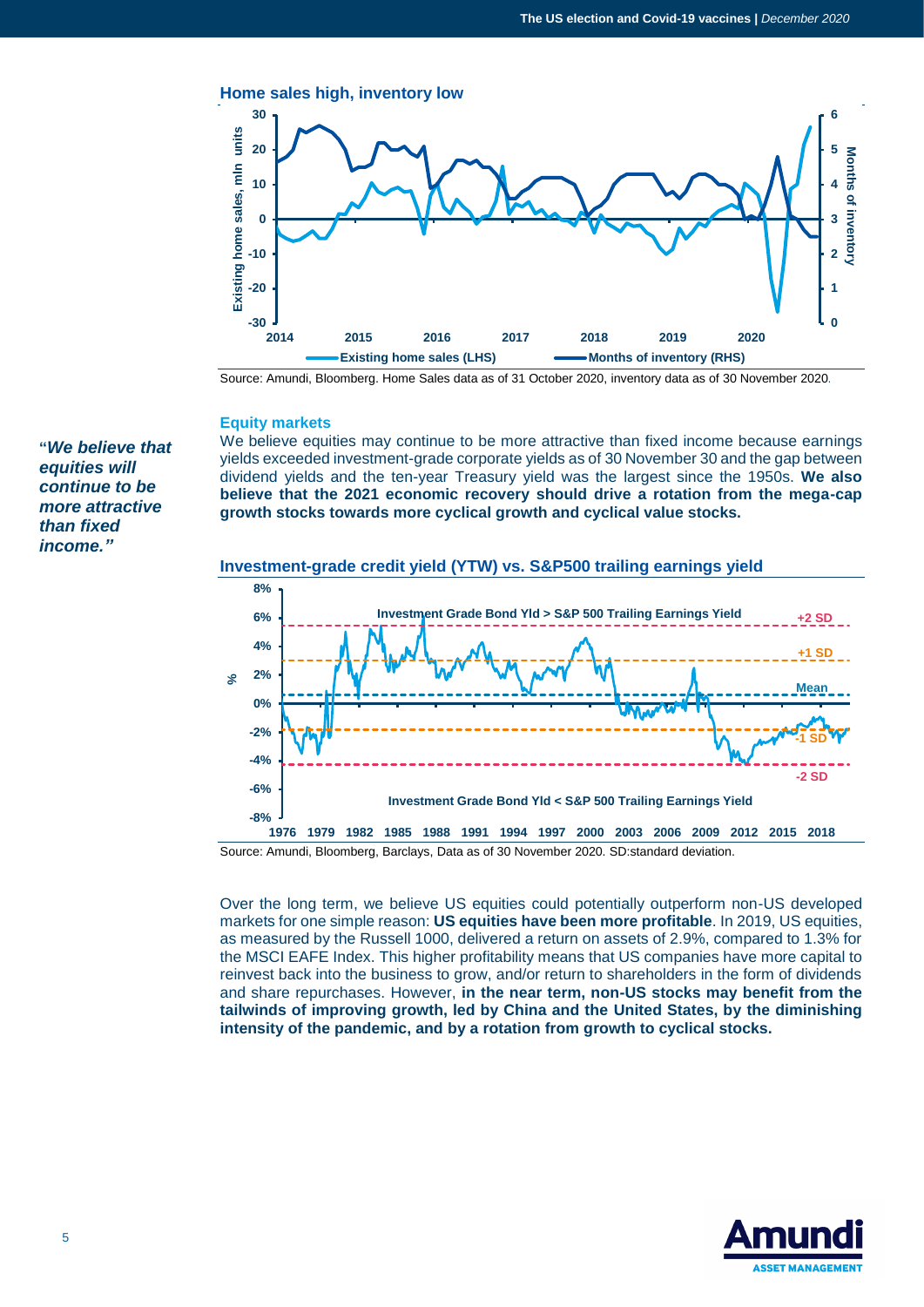

Source: Amundi, Bloomberg. Home Sales data as of 31 October 2020, inventory data as of 30 November 2020.

#### **Equity markets**

**"***We believe that equities will continue to be more attractive than fixed income."*

## We believe equities may continue to be more attractive than fixed income because earnings yields exceeded investment-grade corporate yields as of 30 November 30 and the gap between dividend yields and the ten-year Treasury yield was the largest since the 1950s. **We also believe that the 2021 economic recovery should drive a rotation from the mega-cap growth stocks towards more cyclical growth and cyclical value stocks.**





Source: Amundi, Bloomberg, Barclays, Data as of 30 November 2020. SD:standard deviation.

Over the long term, we believe US equities could potentially outperform non-US developed markets for one simple reason: **US equities have been more profitable**. In 2019, US equities, as measured by the Russell 1000, delivered a return on assets of 2.9%, compared to 1.3% for the MSCI EAFE Index. This higher profitability means that US companies have more capital to reinvest back into the business to grow, and/or return to shareholders in the form of dividends and share repurchases. However, **in the near term, non-US stocks may benefit from the tailwinds of improving growth, led by China and the United States, by the diminishing intensity of the pandemic, and by a rotation from growth to cyclical stocks.** 

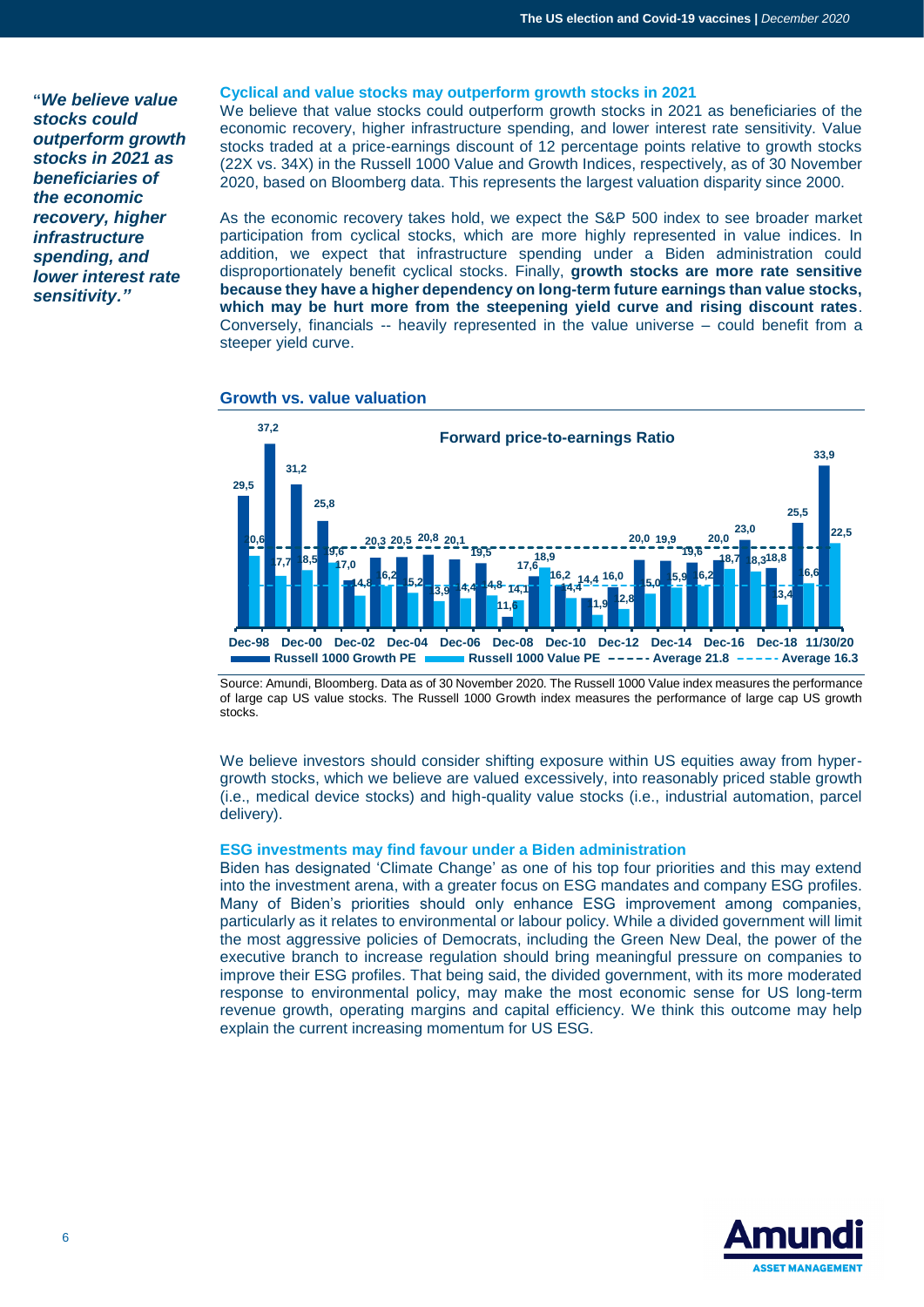**"***We believe value stocks could outperform growth stocks in 2021 as beneficiaries of the economic recovery, higher infrastructure spending, and lower interest rate sensitivity."*

#### **Cyclical and value stocks may outperform growth stocks in 2021**

We believe that value stocks could outperform growth stocks in 2021 as beneficiaries of the economic recovery, higher infrastructure spending, and lower interest rate sensitivity. Value stocks traded at a price-earnings discount of 12 percentage points relative to growth stocks (22X vs. 34X) in the Russell 1000 Value and Growth Indices, respectively, as of 30 November 2020, based on Bloomberg data. This represents the largest valuation disparity since 2000.

As the economic recovery takes hold, we expect the S&P 500 index to see broader market participation from cyclical stocks, which are more highly represented in value indices. In addition, we expect that infrastructure spending under a Biden administration could disproportionately benefit cyclical stocks. Finally, **growth stocks are more rate sensitive because they have a higher dependency on long-term future earnings than value stocks, which may be hurt more from the steepening yield curve and rising discount rates**. Conversely, financials -- heavily represented in the value universe – could benefit from a steeper yield curve.



#### **Growth vs. value valuation**

Source: Amundi, Bloomberg. Data as of 30 November 2020. The Russell 1000 Value index measures the performance of large cap US value stocks. The Russell 1000 Growth index measures the performance of large cap US growth stocks.

We believe investors should consider shifting exposure within US equities away from hypergrowth stocks, which we believe are valued excessively, into reasonably priced stable growth (i.e., medical device stocks) and high-quality value stocks (i.e., industrial automation, parcel delivery).

#### **ESG investments may find favour under a Biden administration**

Biden has designated 'Climate Change' as one of his top four priorities and this may extend into the investment arena, with a greater focus on ESG mandates and company ESG profiles. Many of Biden's priorities should only enhance ESG improvement among companies, particularly as it relates to environmental or labour policy. While a divided government will limit the most aggressive policies of Democrats, including the Green New Deal, the power of the executive branch to increase regulation should bring meaningful pressure on companies to improve their ESG profiles. That being said, the divided government, with its more moderated response to environmental policy, may make the most economic sense for US long-term revenue growth, operating margins and capital efficiency. We think this outcome may help explain the current increasing momentum for US ESG.